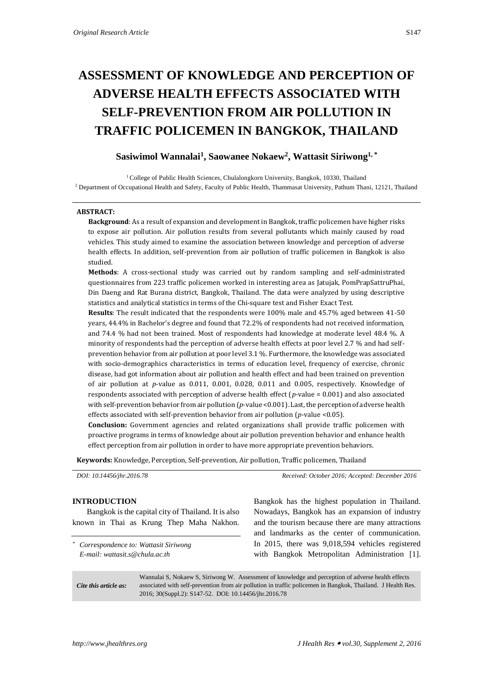# **ASSESSMENT OF KNOWLEDGE AND PERCEPTION OF ADVERSE HEALTH EFFECTS ASSOCIATED WITH SELF-PREVENTION FROM AIR POLLUTION IN TRAFFIC POLICEMEN IN BANGKOK, THAILAND**

# **Sasiwimol Wannalai<sup>1</sup> , Saowanee Nokaew<sup>2</sup> , Wattasit Siriwong1, \***

<sup>1</sup> College of Public Health Sciences, Chulalongkorn University, Bangkok, 10330, Thailand <sup>2</sup> Department of Occupational Health and Safety, Faculty of Public Health, Thammasat University, Pathum Thani, 12121, Thailand

#### **ABSTRACT:**

**Background**: As a result of expansion and development in Bangkok, traffic policemen have higher risks to expose air pollution. Air pollution results from several pollutants which mainly caused by road vehicles. This study aimed to examine the association between knowledge and perception of adverse health effects. In addition, self-prevention from air pollution of traffic policemen in Bangkok is also studied.

**Methods**: A cross-sectional study was carried out by random sampling and self-administrated questionnaires from 223 traffic policemen worked in interesting area as Jatujak, PomPrapSattruPhai, Din Daeng and Rat Burana district, Bangkok, Thailand. The data were analyzed by using descriptive statistics and analytical statistics in terms of the Chi-square test and Fisher Exact Test.

**Results**: The result indicated that the respondents were 100% male and 45.7% aged between 41-50 years, 44.4% in Bachelor's degree and found that 72.2% of respondents had not received information, and 74.4 % had not been trained. Most of respondents had knowledge at moderate level 48.4 %. A minority of respondents had the perception of adverse health effects at poor level 2.7 % and had selfprevention behavior from air pollution at poor level 3.1 %. Furthermore, the knowledge was associated with socio-demographics characteristics in terms of education level, frequency of exercise, chronic disease, had got information about air pollution and health effect and had been trained on prevention of air pollution at *p*-value as 0.011, 0.001, 0.028, 0.011 and 0.005, respectively. Knowledge of respondents associated with perception of adverse health effect (*p*-value = 0.001) and also associated with self-prevention behavior from air pollution (*p*-value <0.001). Last, the perception of adverse health effects associated with self-prevention behavior from air pollution (*p*-value <0.05).

**Conclusion:** Government agencies and related organizations shall provide traffic policemen with proactive programs in terms of knowledge about air pollution prevention behavior and enhance health effect perception from air pollution in order to have more appropriate prevention behaviors.

**Keywords:** Knowledge, Perception, Self-prevention, Air pollution, Traffic policemen, Thailand

| DOI: 10.14456/jhr.2016.78                                                  | Received: October 2016; Accepted: December 2016                                                     |  |  |
|----------------------------------------------------------------------------|-----------------------------------------------------------------------------------------------------|--|--|
| <b>INTRODUCTION</b><br>Bangkok is the capital city of Thailand. It is also | Bangkok has the highest population in Thailand.<br>Nowadays, Bangkok has an expansion of industry   |  |  |
| known in Thai as Krung Thep Maha Nakhon.                                   | and the tourism because there are many attractions<br>and landmarks as the center of communication. |  |  |

*\* Correspondence to: Wattasit Siriwong E-mail: wattasit.s@chula.ac.th*

and landmarks as the center of communication. In 2015, there was 9,018,594 vehicles registered with Bangkok Metropolitan Administration [\[1\]](#page-4-0).

*Cite this article as:*

Wannalai S, Nokaew S, Siriwong W. Assessment of knowledge and perception of adverse health effects associated with self-prevention from air pollution in traffic policemen in Bangkok, Thailand. J Health Res. 2016; 30(Suppl.2): S147-52. DOI: 10.14456/jhr.2016.78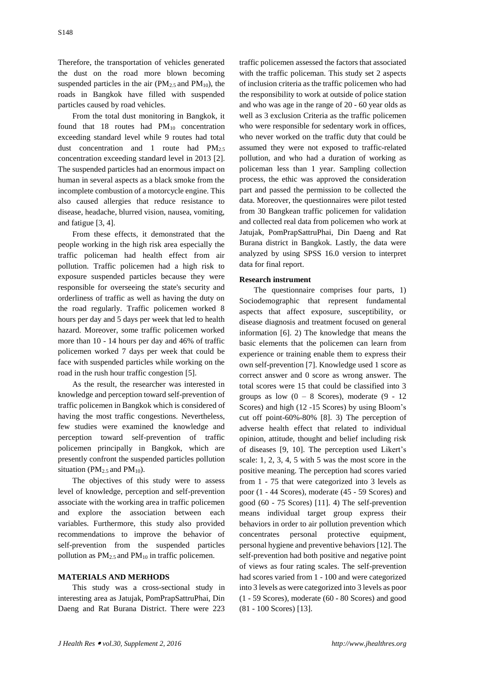Therefore, the transportation of vehicles generated the dust on the road more blown becoming suspended particles in the air  $(PM<sub>2.5</sub>$  and  $PM<sub>10</sub>)$ , the roads in Bangkok have filled with suspended particles caused by road vehicles.

From the total dust monitoring in Bangkok, it found that 18 routes had PM<sub>10</sub> concentration exceeding standard level while 9 routes had total dust concentration and 1 route had  $PM_{2.5}$ concentration exceeding standard level in 2013 [\[2\]](#page-4-1). The suspended particles had an enormous impact on human in several aspects as a black smoke from the incomplete combustion of a motorcycle engine. This also caused allergies that reduce resistance to disease, headache, blurred vision, nausea, vomiting, and fatigue [\[3,](#page-5-0) [4\]](#page-5-1).

From these effects, it demonstrated that the people working in the high risk area especially the traffic policeman had health effect from air pollution. Traffic policemen had a high risk to exposure suspended particles because they were responsible for overseeing the state's security and orderliness of traffic as well as having the duty on the road regularly. Traffic policemen worked 8 hours per day and 5 days per week that led to health hazard. Moreover, some traffic policemen worked more than 10 - 14 hours per day and 46% of traffic policemen worked 7 days per week that could be face with suspended particles while working on the road in the rush hour traffic congestion [\[5\]](#page-5-2).

As the result, the researcher was interested in knowledge and perception toward self-prevention of traffic policemen in Bangkok which is considered of having the most traffic congestions. Nevertheless, few studies were examined the knowledge and perception toward self-prevention of traffic policemen principally in Bangkok, which are presently confront the suspended particles pollution situation ( $PM_{2.5}$  and  $PM_{10}$ ).

The objectives of this study were to assess level of knowledge, perception and self-prevention associate with the working area in traffic policemen and explore the association between each variables. Furthermore, this study also provided recommendations to improve the behavior of self-prevention from the suspended particles pollution as  $PM_{2.5}$  and  $PM_{10}$  in traffic policemen.

# **MATERIALS AND MERHODS**

This study was a cross-sectional study in interesting area as Jatujak, PomPrapSattruPhai, Din Daeng and Rat Burana District. There were 223

traffic policemen assessed the factors that associated with the traffic policeman. This study set 2 aspects of inclusion criteria as the traffic policemen who had the responsibility to work at outside of police station and who was age in the range of 20 - 60 year olds as well as 3 exclusion Criteria as the traffic policemen who were responsible for sedentary work in offices, who never worked on the traffic duty that could be assumed they were not exposed to traffic-related pollution, and who had a duration of working as policeman less than 1 year. Sampling collection process, the ethic was approved the consideration part and passed the permission to be collected the data. Moreover, the questionnaires were pilot tested from 30 Bangkean traffic policemen for validation and collected real data from policemen who work at Jatujak, PomPrapSattruPhai, Din Daeng and Rat Burana district in Bangkok. Lastly, the data were analyzed by using SPSS 16.0 version to interpret data for final report.

# **Research instrument**

The questionnaire comprises four parts, 1) Sociodemographic that represent fundamental aspects that affect exposure, susceptibility, or disease diagnosis and treatment focused on general information [\[6\]](#page-5-3). 2) The knowledge that means the basic elements that the policemen can learn from experience or training enable them to express their own self-prevention [\[7\]](#page-5-4). Knowledge used 1 score as correct answer and 0 score as wrong answer. The total scores were 15 that could be classified into 3 groups as low  $(0 - 8$  Scores), moderate  $(9 - 12)$ Scores) and high (12 -15 Scores) by using Bloom's cut off point-60%-80% [\[8\]](#page-5-5). 3) The perception of adverse health effect that related to individual opinion, attitude, thought and belief including risk of diseases [\[9,](#page-5-6) [10\]](#page-5-7). The perception used Likert's scale: 1, 2, 3, 4, 5 with 5 was the most score in the positive meaning. The perception had scores varied from 1 - 75 that were categorized into 3 levels as poor (1 - 44 Scores), moderate (45 - 59 Scores) and good (60 - 75 Scores) [\[11\]](#page-5-8). 4) The self-prevention means individual target group express their behaviors in order to air pollution prevention which concentrates personal protective equipment, personal hygiene and preventive behaviors [\[12\]](#page-5-9). The self-prevention had both positive and negative point of views as four rating scales. The self-prevention had scores varied from 1 - 100 and were categorized into 3 levels as were categorized into 3 levels as poor (1 - 59 Scores), moderate (60 - 80 Scores) and good (81 - 100 Scores) [\[13\]](#page-5-10).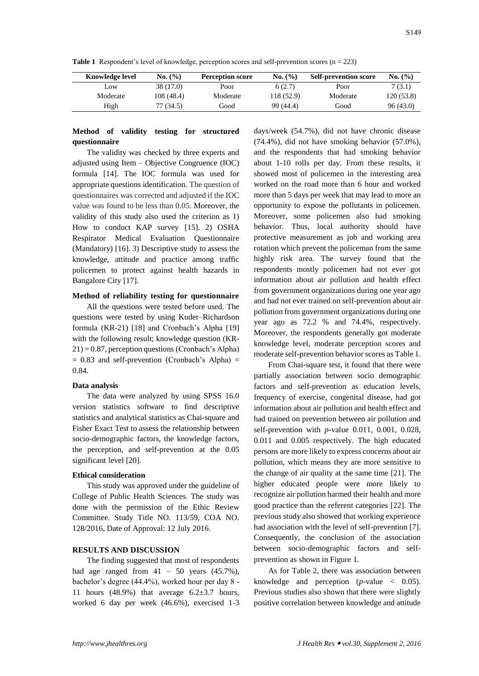**Table 1** Respondent's level of knowledge, perception scores and self-prevention scores (n = 223)

| <b>Knowledge level</b> | No. (%)   | <b>Perception score</b> | No. (%)   | <b>Self-prevention score</b> | No. (%)   |
|------------------------|-----------|-------------------------|-----------|------------------------------|-----------|
| LOW.                   | 38 (17.0) | Poor                    | 6(2.7)    | Poor                         | 7(3.1)    |
| Moderate               | 108(48.4) | Moderate                | 118(52.9) | Moderate                     | 120(53.8) |
| High                   | 77 (34.5) | Good                    | 99 (44.4) | Good                         | 96(43.0)  |

# **Method of validity testing for structured questionnaire**

The validity was checked by three experts and adjusted using Item – Objective Congruence (IOC) formula [\[14\]](#page-5-11). The IOC formula was used for appropriate questions identification. The question of questionnaires was corrected and adjusted if the IOC value was found to be less than 0.05. Moreover, the validity of this study also used the criterion as 1) How to conduct KAP survey [\[15\]](#page-5-12). 2) OSHA Respirator Medical Evaluation Questionnaire (Mandatory) [\[16\]](#page-5-13). 3) Descriptive study to assess the knowledge, attitude and practice among traffic policemen to protect against health hazards in Bangalore City [\[17\]](#page-5-14).

# **Method of reliability testing for questionnaire**

All the questions were tested before used. The questions were tested by using Kuder–Richardson formula (KR-21) [\[18\]](#page-5-15) and Cronbach's Alpha [\[19\]](#page-5-16) with the following result; knowledge question (KR-21) = 0.87, perception questions (Cronbach's Alpha)  $= 0.83$  and self-prevention (Cronbach's Alpha)  $=$ 0.84.

#### **Data analysis**

The data were analyzed by using SPSS 16.0 version statistics software to find descriptive statistics and analytical statistics as Chai-square and Fisher Exact Test to assess the relationship between socio-demographic factors, the knowledge factors, the perception, and self-prevention at the 0.05 significant level [\[20\]](#page-5-17).

#### **Ethical consideration**

This study was approved under the guideline of College of Public Health Sciences. The study was done with the permission of the Ethic Review Committee. Study Title NO. 113/59, COA NO. 128/2016, Date of Approval: 12 July 2016.

# **RESULTS AND DISCUSSION**

The finding suggested that most of respondents had age ranged from  $41 - 50$  years  $(45.7\%)$ , bachelor's degree (44.4%), worked hour per day 8 - 11 hours  $(48.9\%)$  that average  $6.2\pm3.7$  hours, worked 6 day per week (46.6%), exercised 1-3

days/week (54.7%), did not have chronic disease (74.4%), did not have smoking behavior (57.0%), and the respondents that had smoking behavior about 1-10 rolls per day. From these results, it showed most of policemen in the interesting area worked on the road more than 6 hour and worked more than 5 days per week that may lead to more an opportunity to expose the pollutants in policemen. Moreover, some policemen also had smoking behavior. Thus, local authority should have protective measurement as job and working area rotation which prevent the policeman from the same highly risk area. The survey found that the respondents mostly policemen had not ever got information about air pollution and health effect from government organizations during one year ago and had not ever trained on self-prevention about air pollution from government organizations during one year ago as 72.2 % and 74.4%, respectively. Moreover, the respondents generally got moderate knowledge level, moderate perception scores and moderate self-prevention behavior scores as Table 1.

From Chai-square test, it found that there were partially association between socio demographic factors and self-prevention as education levels, frequency of exercise, congenital disease, had got information about air pollution and health effect and had trained on prevention between air pollution and self-prevention with *p*-value 0.011, 0.001, 0.028, 0.011 and 0.005 respectively. The high educated persons are more likely to express concerns about air pollution, which means they are more sensitive to the change of air quality at the same time [\[21\]](#page-5-18). The higher educated people were more likely to recognize air pollution harmed their health and more good practice than the referent categories [\[22\]](#page-5-19). The previous study also showed that working experience had association with the level of self-prevention [\[7\]](#page-5-4). Consequently, the conclusion of the association between socio-demographic factors and selfprevention as shown in Figure 1.

As for Table 2, there was association between knowledge and perception  $(p$ -value  $\lt$  0.05). Previous studies also shown that there were slightly positive correlation between knowledge and attitude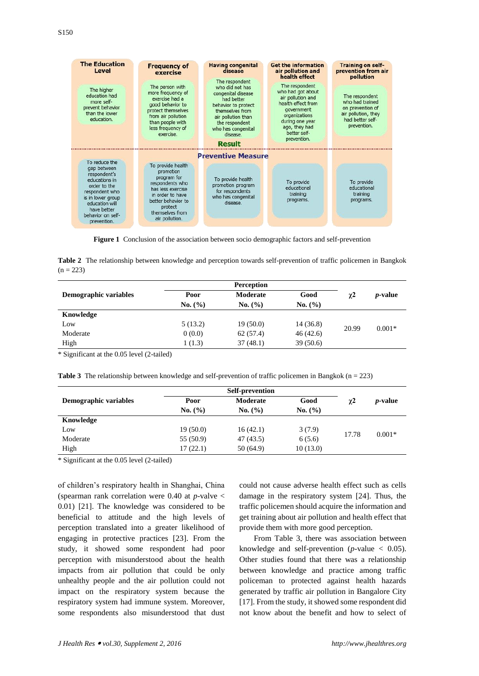| <b>The Education</b><br><b>Level</b>                                                                                                                                                      | <b>Frequency of</b><br>exercise                                                                                                                                                 | <b>Having congenital</b><br>disease                                                                                                                                                       | <b>Get the information</b><br>air pollution and<br>health effect                                                                                                  | Training on self-<br>prevention from air<br>pollution                                                           |
|-------------------------------------------------------------------------------------------------------------------------------------------------------------------------------------------|---------------------------------------------------------------------------------------------------------------------------------------------------------------------------------|-------------------------------------------------------------------------------------------------------------------------------------------------------------------------------------------|-------------------------------------------------------------------------------------------------------------------------------------------------------------------|-----------------------------------------------------------------------------------------------------------------|
| The higher<br>education had<br>more self-<br>prevent behavior<br>than the lower<br>education.                                                                                             | The person with<br>more frequency of<br>exercise had a<br>good behavior to<br>protect themselves<br>from air pollution<br>than people with<br>less frequency of<br>exercise.    | The respondent<br>who did not has<br>congenital disease<br>had better<br>behavior to protect<br>themselves from<br>air pollution than<br>the respondent<br>who has congenital<br>disease. | The respondent<br>who had got about<br>air pollution and<br>health effect from<br>qovernment<br>organizations<br>during one year<br>ago, they had<br>better self- | The respondent<br>who had trained<br>on prevention of<br>air pollution, they<br>had better self-<br>prevention. |
|                                                                                                                                                                                           |                                                                                                                                                                                 | <b>Result</b>                                                                                                                                                                             | prevention.                                                                                                                                                       |                                                                                                                 |
|                                                                                                                                                                                           |                                                                                                                                                                                 | <b>Preventive Measure</b>                                                                                                                                                                 |                                                                                                                                                                   |                                                                                                                 |
| To reduce the<br>gap between<br>respondent's<br>educations in<br>order to the<br>respondent who<br>is in lower group<br>education will<br>have better<br>behavior on self-<br>prevention. | To provide health<br>promotion<br>program for<br>respondents who<br>has less exercise<br>in order to have<br>better behavior to<br>protect<br>themselves from<br>air pollution. | To provide health<br>promotion program<br>for respondents<br>who has congenital<br>disease.                                                                                               | To provide<br>educational<br>training<br>programs.                                                                                                                | To provide<br>educational<br>training<br>programs.                                                              |

**Figure 1** Conclusion of the association between socio demographic factors and self-prevention

**Table 2** The relationship between knowledge and perception towards self-prevention of traffic policemen in Bangkok  $(n = 223)$ 

|         | <b>Perception</b> |          |          |                 |
|---------|-------------------|----------|----------|-----------------|
| Poor    | Moderate          | Good     | $\chi^2$ | <i>p</i> -value |
| No. (%) | No. (%)           | No. (%)  |          |                 |
|         |                   |          |          |                 |
| 5(13.2) | 19(50.0)          | 14(36.8) | 20.99    | $0.001*$        |
| 0(0.0)  | 62(57.4)          | 46(42.6) |          |                 |
| 1 (1.3) | 37(48.1)          | 39(50.6) |          |                 |
|         |                   |          |          |                 |

\* Significant at the 0.05 level (2-tailed)

**Table 3** The relationship between knowledge and self-prevention of traffic policemen in Bangkok (n = 223)

| Demographic variables | Poor      | Moderate  | Good     | $\chi$ <sup>2</sup> | <i>p</i> -value |
|-----------------------|-----------|-----------|----------|---------------------|-----------------|
|                       | No. (%)   | No. (%)   | No. (%)  |                     |                 |
| Knowledge             |           |           |          |                     |                 |
| Low                   | 19(50.0)  | 16(42.1)  | 3(7.9)   | 17.78               | $0.001*$        |
| Moderate              | 55 (50.9) | 47 (43.5) | 6(5.6)   |                     |                 |
| High                  | 17(22.1)  | 50(64.9)  | 10(13.0) |                     |                 |

\* Significant at the 0.05 level (2-tailed)

of children's respiratory health in Shanghai, China (spearman rank correlation were 0.40 at *p*-valve < 0.01) [\[21\]](#page-5-18). The knowledge was considered to be beneficial to attitude and the high levels of perception translated into a greater likelihood of engaging in protective practices [\[23\]](#page-5-20). From the study, it showed some respondent had poor perception with misunderstood about the health impacts from air pollution that could be only unhealthy people and the air pollution could not impact on the respiratory system because the respiratory system had immune system. Moreover, some respondents also misunderstood that dust

could not cause adverse health effect such as cells damage in the respiratory system [\[24\]](#page-5-21). Thus, the traffic policemen should acquire the information and get training about air pollution and health effect that provide them with more good perception.

From Table 3, there was association between knowledge and self-prevention ( $p$ -value  $<$  0.05). Other studies found that there was a relationship between knowledge and practice among traffic policeman to protected against health hazards generated by traffic air pollution in Bangalore City [\[17\]](#page-5-14). From the study, it showed some respondent did not know about the benefit and how to select of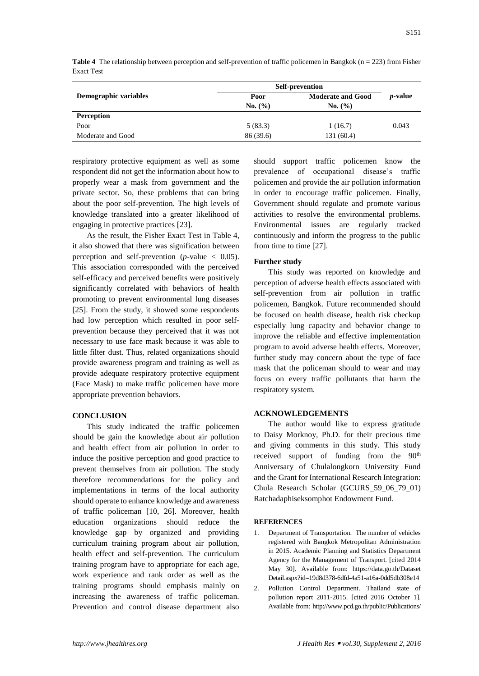|                       | <b>Self-prevention</b> |                          |                 |
|-----------------------|------------------------|--------------------------|-----------------|
| Demographic variables | Poor                   | <b>Moderate and Good</b> | <i>p</i> -value |
|                       | No. (%)                | No. (%)                  |                 |
| Perception            |                        |                          |                 |
| Poor                  | 5(83.3)                | 1(16.7)                  | 0.043           |
| Moderate and Good     | 86 (39.6)              | 131 (60.4)               |                 |

**Table 4** The relationship between perception and self-prevention of traffic policemen in Bangkok (n = 223) from Fisher Exact Test

respiratory protective equipment as well as some respondent did not get the information about how to properly wear a mask from government and the private sector. So, these problems that can bring about the poor self-prevention. The high levels of knowledge translated into a greater likelihood of engaging in protective practices [\[23\]](#page-5-20).

As the result, the Fisher Exact Test in Table 4, it also showed that there was signification between perception and self-prevention  $(p$ -value  $< 0.05$ ). This association corresponded with the perceived self-efficacy and perceived benefits were positively significantly correlated with behaviors of health promoting to prevent environmental lung diseases [\[25\]](#page-5-22). From the study, it showed some respondents had low perception which resulted in poor selfprevention because they perceived that it was not necessary to use face mask because it was able to little filter dust. Thus, related organizations should provide awareness program and training as well as provide adequate respiratory protective equipment (Face Mask) to make traffic policemen have more appropriate prevention behaviors.

#### **CONCLUSION**

This study indicated the traffic policemen should be gain the knowledge about air pollution and health effect from air pollution in order to induce the positive perception and good practice to prevent themselves from air pollution. The study therefore recommendations for the policy and implementations in terms of the local authority should operate to enhance knowledge and awareness of traffic policeman [\[10,](#page-5-7) [26\]](#page-5-23). Moreover, health education organizations should reduce the knowledge gap by organized and providing curriculum training program about air pollution, health effect and self-prevention. The curriculum training program have to appropriate for each age, work experience and rank order as well as the training programs should emphasis mainly on increasing the awareness of traffic policeman. Prevention and control disease department also

should support traffic policemen know the prevalence of occupational disease's traffic policemen and provide the air pollution information in order to encourage traffic policemen. Finally, Government should regulate and promote various activities to resolve the environmental problems. Environmental issues are regularly tracked continuously and inform the progress to the public from time to time [\[27\]](#page-5-24).

# **Further study**

This study was reported on knowledge and perception of adverse health effects associated with self-prevention from air pollution in traffic policemen, Bangkok. Future recommended should be focused on health disease, health risk checkup especially lung capacity and behavior change to improve the reliable and effective implementation program to avoid adverse health effects. Moreover, further study may concern about the type of face mask that the policeman should to wear and may focus on every traffic pollutants that harm the respiratory system.

# **ACKNOWLEDGEMENTS**

The author would like to express gratitude to Daisy Morknoy, Ph.D. for their precious time and giving comments in this study. This study received support of funding from the  $90<sup>th</sup>$ Anniversary of Chulalongkorn University Fund and the Grant for International Research Integration: Chula Research Scholar (GCURS\_59\_06\_79\_01) Ratchadaphiseksomphot Endowment Fund.

#### **REFERENCES**

- <span id="page-4-0"></span>1. Department of Transportation. The number of vehicles registered with Bangkok Metropolitan Administration in 2015. Academic Planning and Statistics Department Agency for the Management of Transport. [cited 2014 May 30]. Available from: https://data.go.th/Dataset Detail.aspx?id=19d8d378-6dfd-4a51-a16a-0dd5db308e14
- <span id="page-4-1"></span>2. Pollution Control Department. Thailand state of pollution report 2011-2015. [cited 2016 October 1]. Available from: http://www.pcd.go.th/public/Publications/